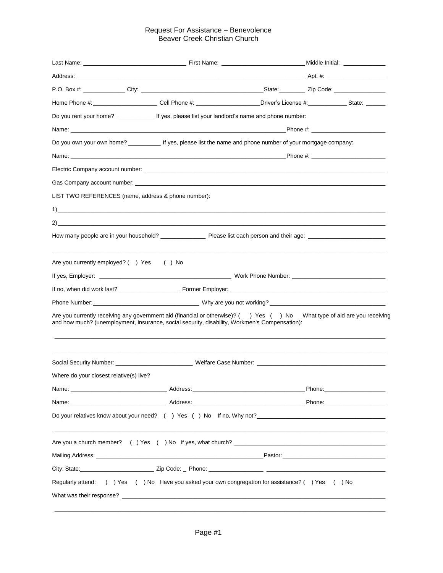## Request For Assistance – Benevolence Beaver Creek Christian Church

|                                                     | Home Phone #: __________________________Cell Phone #: ____________________Driver's License #: ______________State: _______                                                                                                     |                               |
|-----------------------------------------------------|--------------------------------------------------------------------------------------------------------------------------------------------------------------------------------------------------------------------------------|-------------------------------|
|                                                     | Do you rent your home? _______________ If yes, please list your landlord's name and phone number:                                                                                                                              |                               |
|                                                     |                                                                                                                                                                                                                                |                               |
|                                                     | Do you own your own home? ____________ If yes, please list the name and phone number of your mortgage company:                                                                                                                 |                               |
|                                                     |                                                                                                                                                                                                                                |                               |
|                                                     |                                                                                                                                                                                                                                |                               |
|                                                     |                                                                                                                                                                                                                                |                               |
| LIST TWO REFERENCES (name, address & phone number): |                                                                                                                                                                                                                                |                               |
|                                                     |                                                                                                                                                                                                                                |                               |
|                                                     |                                                                                                                                                                                                                                |                               |
|                                                     |                                                                                                                                                                                                                                |                               |
| Are you currently employed? () Yes () No            |                                                                                                                                                                                                                                |                               |
|                                                     |                                                                                                                                                                                                                                |                               |
|                                                     |                                                                                                                                                                                                                                |                               |
|                                                     |                                                                                                                                                                                                                                |                               |
|                                                     | Are you currently receiving any government aid (financial or otherwise)? () Yes () No What type of aid are you receiving<br>and how much? (unemployment, insurance, social security, disability, Workmen's Compensation):      |                               |
|                                                     | Social Security Number: ________________________________Welfare Case Number: _________________________________                                                                                                                 |                               |
| Where do your closest relative(s) live?             |                                                                                                                                                                                                                                |                               |
|                                                     |                                                                                                                                                                                                                                | Phone: ______________________ |
|                                                     |                                                                                                                                                                                                                                |                               |
|                                                     | Do your relatives know about your need? () Yes () No If no, Why not?                                                                                                                                                           |                               |
|                                                     |                                                                                                                                                                                                                                |                               |
|                                                     | Mailing Address: National Activity of the Contract of the Contract of the Contract of the Contract of the Contract of the Contract of the Contract of the Contract of the Contract of the Contract of the Contract of the Cont |                               |
|                                                     |                                                                                                                                                                                                                                |                               |
|                                                     | Regularly attend: () Yes () No Have you asked your own congregation for assistance? () Yes () No                                                                                                                               |                               |
|                                                     |                                                                                                                                                                                                                                |                               |

 $\_$  , and the set of the set of the set of the set of the set of the set of the set of the set of the set of the set of the set of the set of the set of the set of the set of the set of the set of the set of the set of th